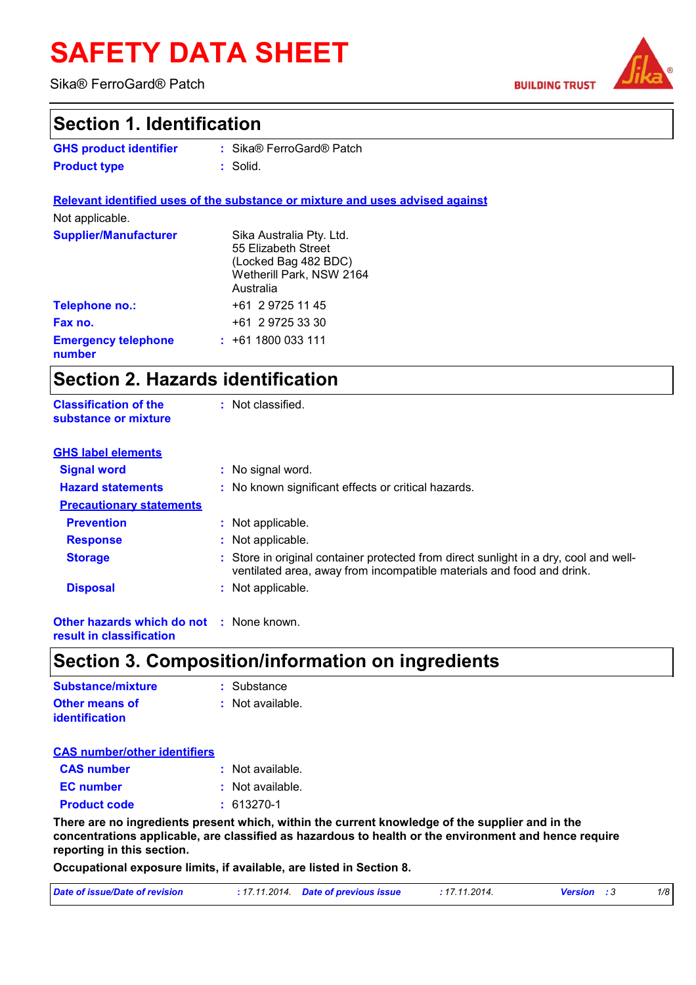# **SAFETY DATA SHEET**

Sika® FerroGard® Patch

**Classification of the** 

**BUILDING TRUST** 



### **Section 1. Identification**

| <b>GHS product identifier</b> | : Sika® FerroGard® Patch |
|-------------------------------|--------------------------|
| <b>Product type</b>           | : Solid.                 |

**Relevant identified uses of the substance or mixture and uses advised against** Not applicable. **Emergency telephone number :** +61 1800 033 111 Sika Australia Pty. Ltd. 55 Elizabeth Street (Locked Bag 482 BDC) Wetherill Park, NSW 2164 Australia **Supplier/Manufacturer Telephone no.:**  $+61$  2 9725 11 45 **Fax no.**  $+61$  2 9725 33 30

: Not classified.

### **Section 2. Hazards identification**

| substance or mixture            |                                                                                                                                                                |
|---------------------------------|----------------------------------------------------------------------------------------------------------------------------------------------------------------|
| <b>GHS label elements</b>       |                                                                                                                                                                |
| <b>Signal word</b>              | : No signal word.                                                                                                                                              |
| <b>Hazard statements</b>        | : No known significant effects or critical hazards.                                                                                                            |
| <b>Precautionary statements</b> |                                                                                                                                                                |
| <b>Prevention</b>               | : Not applicable.                                                                                                                                              |
| <b>Response</b>                 | : Not applicable.                                                                                                                                              |
| <b>Storage</b>                  | : Store in original container protected from direct sunlight in a dry, cool and well-<br>ventilated area, away from incompatible materials and food and drink. |
| <b>Disposal</b>                 | : Not applicable.                                                                                                                                              |
|                                 |                                                                                                                                                                |

**Other hazards which do not :** None known. **result in classification**

### **Section 3. Composition/information on ingredients**

| Substance/mixture                              | : Substance      |
|------------------------------------------------|------------------|
| <b>Other means of</b><br><b>identification</b> | : Not available. |

| <b>CAS number/other identifiers</b> |                    |
|-------------------------------------|--------------------|
| <b>CAS</b> number                   | : Not available.   |
| <b>EC</b> number                    | $:$ Not available. |
| <b>Product code</b>                 | $: 613270-1$       |

**There are no ingredients present which, within the current knowledge of the supplier and in the concentrations applicable, are classified as hazardous to health or the environment and hence require reporting in this section.**

**Occupational exposure limits, if available, are listed in Section 8.**

| Date of issue/Date of revision | : 17.11.2014 Date of previous issue | : 17.11.2014. | <b>Version</b> : 3 | 1/8 |
|--------------------------------|-------------------------------------|---------------|--------------------|-----|
|                                |                                     |               |                    |     |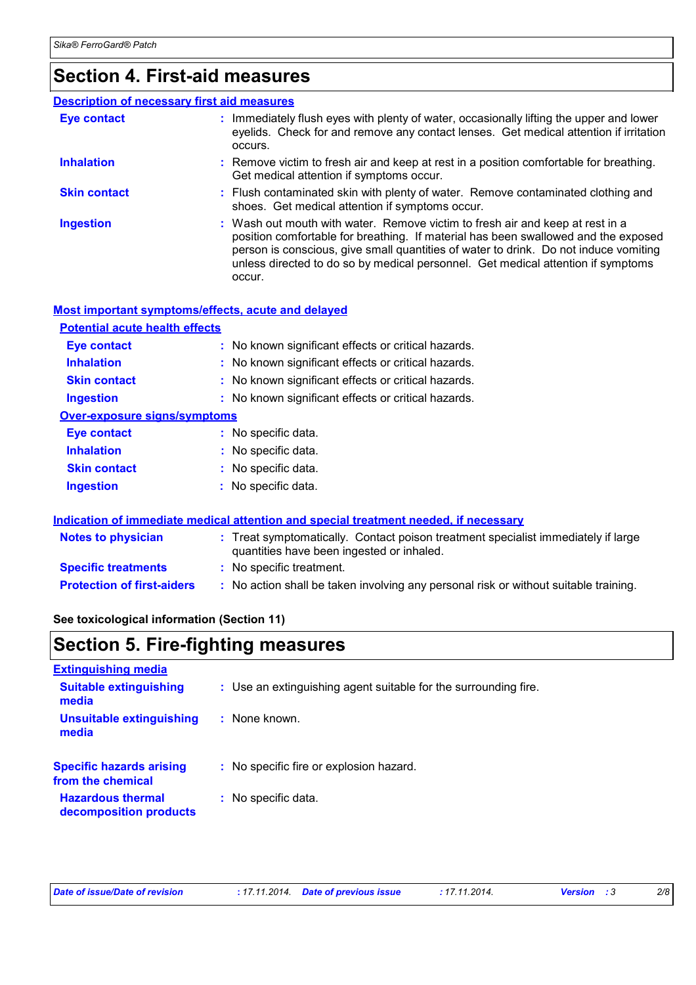# **Section 4. First-aid measures**

| <b>Description of necessary first aid measures</b> |                                                                                                                                                                                                                                                                                                                                                           |
|----------------------------------------------------|-----------------------------------------------------------------------------------------------------------------------------------------------------------------------------------------------------------------------------------------------------------------------------------------------------------------------------------------------------------|
| <b>Eye contact</b>                                 | : Immediately flush eyes with plenty of water, occasionally lifting the upper and lower<br>eyelids. Check for and remove any contact lenses. Get medical attention if irritation<br>occurs.                                                                                                                                                               |
| <b>Inhalation</b>                                  | : Remove victim to fresh air and keep at rest in a position comfortable for breathing.<br>Get medical attention if symptoms occur.                                                                                                                                                                                                                        |
| <b>Skin contact</b>                                | : Flush contaminated skin with plenty of water. Remove contaminated clothing and<br>shoes. Get medical attention if symptoms occur.                                                                                                                                                                                                                       |
| <b>Ingestion</b>                                   | : Wash out mouth with water. Remove victim to fresh air and keep at rest in a<br>position comfortable for breathing. If material has been swallowed and the exposed<br>person is conscious, give small quantities of water to drink. Do not induce vomiting<br>unless directed to do so by medical personnel. Get medical attention if symptoms<br>occur. |

#### **Most important symptoms/effects, acute and delayed**

| <b>Potential acute health effects</b> |                                                     |  |
|---------------------------------------|-----------------------------------------------------|--|
| <b>Eye contact</b>                    | : No known significant effects or critical hazards. |  |
| <b>Inhalation</b>                     | : No known significant effects or critical hazards. |  |
| <b>Skin contact</b>                   | : No known significant effects or critical hazards. |  |
| <b>Ingestion</b>                      | : No known significant effects or critical hazards. |  |
| Over-exposure signs/symptoms          |                                                     |  |
| <b>Eye contact</b>                    | : No specific data.                                 |  |
| <b>Inhalation</b>                     | : No specific data.                                 |  |
| <b>Skin contact</b>                   | : No specific data.                                 |  |
| <b>Ingestion</b>                      | : No specific data.                                 |  |
|                                       |                                                     |  |

#### **Indication of immediate medical attention and special treatment needed, if necessary**

| <b>Notes to physician</b>         | : Treat symptomatically. Contact poison treatment specialist immediately if large<br>quantities have been ingested or inhaled. |
|-----------------------------------|--------------------------------------------------------------------------------------------------------------------------------|
| <b>Specific treatments</b>        | : No specific treatment.                                                                                                       |
| <b>Protection of first-aiders</b> | : No action shall be taken involving any personal risk or without suitable training.                                           |

#### **See toxicological information (Section 11)**

### **Section 5. Fire-fighting measures**

| : Use an extinguishing agent suitable for the surrounding fire. |
|-----------------------------------------------------------------|
| $:$ None known.                                                 |
| : No specific fire or explosion hazard.                         |
| : No specific data.                                             |
|                                                                 |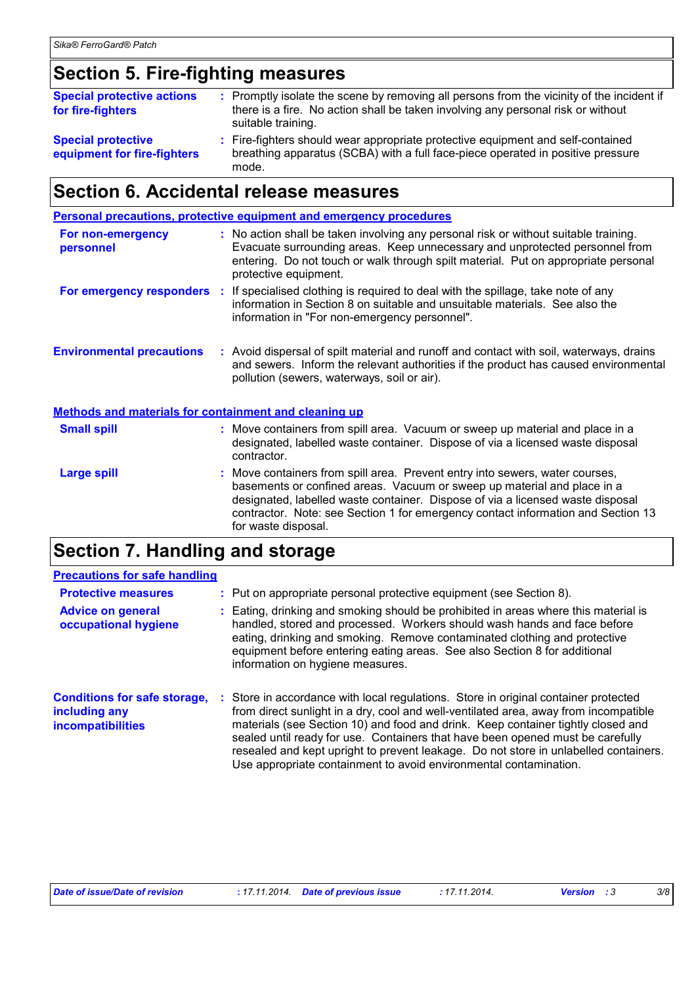# **Section 5. Fire-fighting measures**

| <b>Special protective actions</b><br>for fire-fighters   | : Promptly isolate the scene by removing all persons from the vicinity of the incident if<br>there is a fire. No action shall be taken involving any personal risk or without<br>suitable training. |
|----------------------------------------------------------|-----------------------------------------------------------------------------------------------------------------------------------------------------------------------------------------------------|
| <b>Special protective</b><br>equipment for fire-fighters | : Fire-fighters should wear appropriate protective equipment and self-contained<br>breathing apparatus (SCBA) with a full face-piece operated in positive pressure<br>mode.                         |

# **Section 6. Accidental release measures**

|                                                       | <b>Personal precautions, protective equipment and emergency procedures</b>                                                                                                                                                                                                                                                                           |
|-------------------------------------------------------|------------------------------------------------------------------------------------------------------------------------------------------------------------------------------------------------------------------------------------------------------------------------------------------------------------------------------------------------------|
| For non-emergency<br>personnel                        | : No action shall be taken involving any personal risk or without suitable training.<br>Evacuate surrounding areas. Keep unnecessary and unprotected personnel from<br>entering. Do not touch or walk through spilt material. Put on appropriate personal<br>protective equipment.                                                                   |
|                                                       | <b>For emergency responders</b> : If specialised clothing is required to deal with the spillage, take note of any<br>information in Section 8 on suitable and unsuitable materials. See also the<br>information in "For non-emergency personnel".                                                                                                    |
| <b>Environmental precautions</b>                      | : Avoid dispersal of spilt material and runoff and contact with soil, waterways, drains<br>and sewers. Inform the relevant authorities if the product has caused environmental<br>pollution (sewers, waterways, soil or air).                                                                                                                        |
| Methods and materials for containment and cleaning up |                                                                                                                                                                                                                                                                                                                                                      |
| <b>Small spill</b>                                    | : Move containers from spill area. Vacuum or sweep up material and place in a<br>designated, labelled waste container. Dispose of via a licensed waste disposal<br>contractor.                                                                                                                                                                       |
| <b>Large spill</b>                                    | : Move containers from spill area. Prevent entry into sewers, water courses,<br>basements or confined areas. Vacuum or sweep up material and place in a<br>designated, labelled waste container. Dispose of via a licensed waste disposal<br>contractor. Note: see Section 1 for emergency contact information and Section 13<br>for waste disposal. |

# **Section 7. Handling and storage**

| <b>Precautions for safe handling</b>                                      |                                                                                                                                                                                                                                                                                                                                                                                                                                                                                                                |
|---------------------------------------------------------------------------|----------------------------------------------------------------------------------------------------------------------------------------------------------------------------------------------------------------------------------------------------------------------------------------------------------------------------------------------------------------------------------------------------------------------------------------------------------------------------------------------------------------|
| <b>Protective measures</b>                                                | : Put on appropriate personal protective equipment (see Section 8).                                                                                                                                                                                                                                                                                                                                                                                                                                            |
| <b>Advice on general</b><br>occupational hygiene                          | : Eating, drinking and smoking should be prohibited in areas where this material is<br>handled, stored and processed. Workers should wash hands and face before<br>eating, drinking and smoking. Remove contaminated clothing and protective<br>equipment before entering eating areas. See also Section 8 for additional<br>information on hygiene measures.                                                                                                                                                  |
| <b>Conditions for safe storage,</b><br>including any<br>incompatibilities | : Store in accordance with local regulations. Store in original container protected<br>from direct sunlight in a dry, cool and well-ventilated area, away from incompatible<br>materials (see Section 10) and food and drink. Keep container tightly closed and<br>sealed until ready for use. Containers that have been opened must be carefully<br>resealed and kept upright to prevent leakage. Do not store in unlabelled containers.<br>Use appropriate containment to avoid environmental contamination. |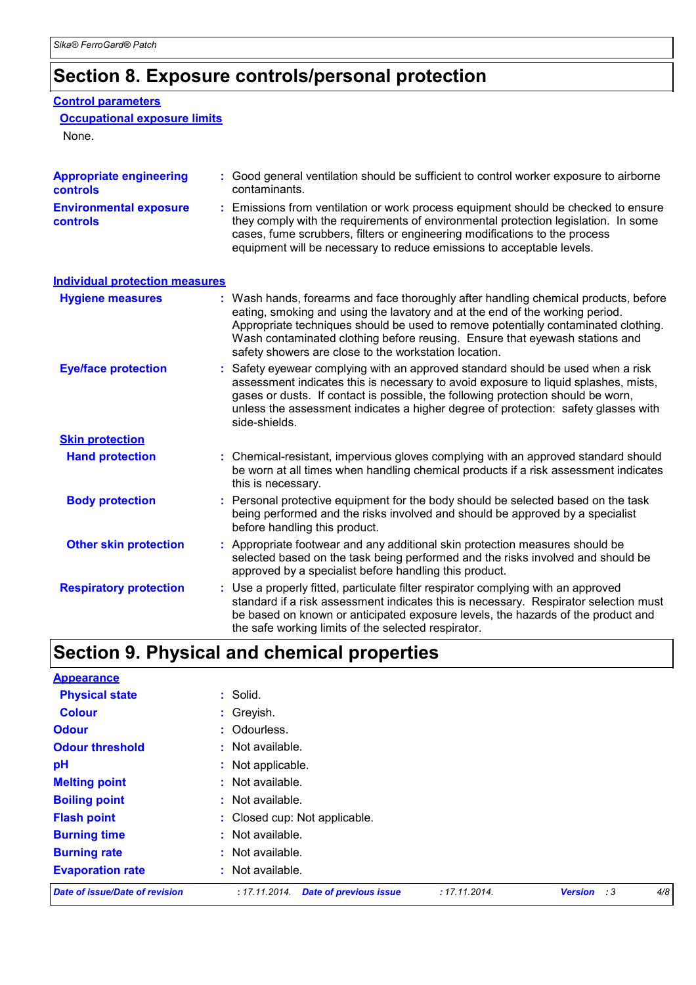# **Section 8. Exposure controls/personal protection**

#### **Control parameters**

#### **Occupational exposure limits**

None.

| <b>Appropriate engineering</b><br><b>controls</b> | : Good general ventilation should be sufficient to control worker exposure to airborne<br>contaminants.                                                                                                                                                                                                                                                                                         |  |  |  |
|---------------------------------------------------|-------------------------------------------------------------------------------------------------------------------------------------------------------------------------------------------------------------------------------------------------------------------------------------------------------------------------------------------------------------------------------------------------|--|--|--|
| <b>Environmental exposure</b><br>controls         | Emissions from ventilation or work process equipment should be checked to ensure<br>they comply with the requirements of environmental protection legislation. In some<br>cases, fume scrubbers, filters or engineering modifications to the process<br>equipment will be necessary to reduce emissions to acceptable levels.                                                                   |  |  |  |
| <b>Individual protection measures</b>             |                                                                                                                                                                                                                                                                                                                                                                                                 |  |  |  |
| <b>Hygiene measures</b>                           | Wash hands, forearms and face thoroughly after handling chemical products, before<br>eating, smoking and using the lavatory and at the end of the working period.<br>Appropriate techniques should be used to remove potentially contaminated clothing.<br>Wash contaminated clothing before reusing. Ensure that eyewash stations and<br>safety showers are close to the workstation location. |  |  |  |
| <b>Eye/face protection</b>                        | Safety eyewear complying with an approved standard should be used when a risk<br>assessment indicates this is necessary to avoid exposure to liquid splashes, mists,<br>gases or dusts. If contact is possible, the following protection should be worn,<br>unless the assessment indicates a higher degree of protection: safety glasses with<br>side-shields.                                 |  |  |  |
| <b>Skin protection</b>                            |                                                                                                                                                                                                                                                                                                                                                                                                 |  |  |  |
| <b>Hand protection</b>                            | : Chemical-resistant, impervious gloves complying with an approved standard should<br>be worn at all times when handling chemical products if a risk assessment indicates<br>this is necessary.                                                                                                                                                                                                 |  |  |  |
| <b>Body protection</b>                            | Personal protective equipment for the body should be selected based on the task<br>being performed and the risks involved and should be approved by a specialist<br>before handling this product.                                                                                                                                                                                               |  |  |  |
| <b>Other skin protection</b>                      | : Appropriate footwear and any additional skin protection measures should be<br>selected based on the task being performed and the risks involved and should be<br>approved by a specialist before handling this product.                                                                                                                                                                       |  |  |  |
| <b>Respiratory protection</b>                     | : Use a properly fitted, particulate filter respirator complying with an approved<br>standard if a risk assessment indicates this is necessary. Respirator selection must<br>be based on known or anticipated exposure levels, the hazards of the product and<br>the safe working limits of the selected respirator.                                                                            |  |  |  |

# **Section 9. Physical and chemical properties**

| <b>Appearance</b>              |                                                |               |                      |     |
|--------------------------------|------------------------------------------------|---------------|----------------------|-----|
| <b>Physical state</b>          | : Solid.                                       |               |                      |     |
| <b>Colour</b>                  | : Greyish.                                     |               |                      |     |
| <b>Odour</b>                   | : Odourless.                                   |               |                      |     |
| <b>Odour threshold</b>         | : Not available.                               |               |                      |     |
| pH                             | : Not applicable.                              |               |                      |     |
| <b>Melting point</b>           | : Not available.                               |               |                      |     |
| <b>Boiling point</b>           | : Not available.                               |               |                      |     |
| <b>Flash point</b>             | : Closed cup: Not applicable.                  |               |                      |     |
| <b>Burning time</b>            | : Not available.                               |               |                      |     |
| <b>Burning rate</b>            | : Not available.                               |               |                      |     |
| <b>Evaporation rate</b>        | : Not available.                               |               |                      |     |
| Date of issue/Date of revision | <b>Date of previous issue</b><br>: 17.11.2014. | : 17.11.2014. | <b>Version</b><br>:3 | 4/8 |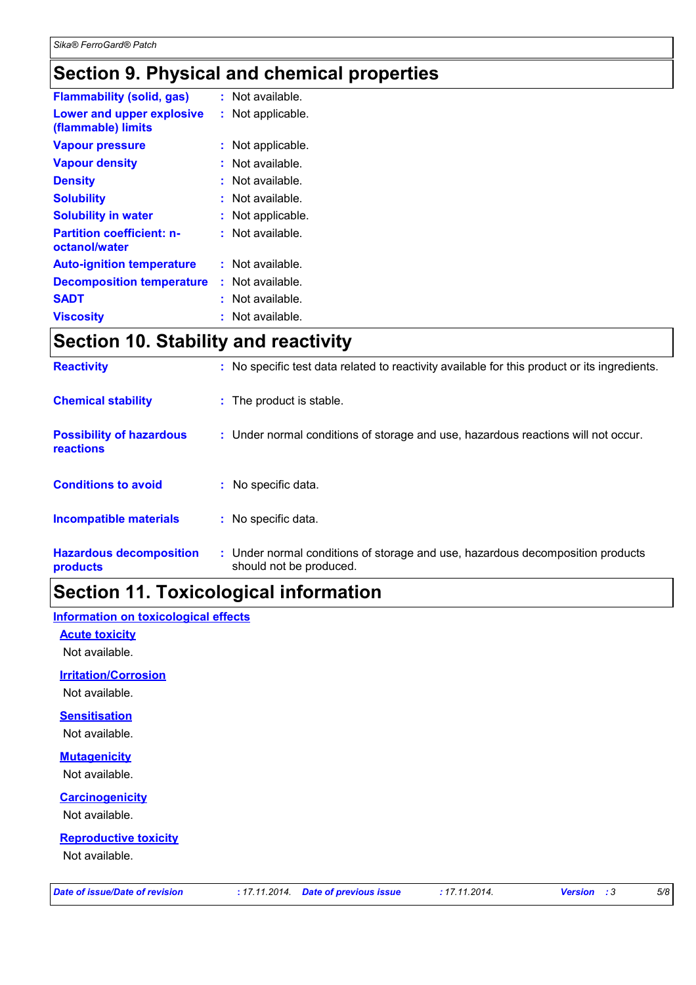# **Section 9. Physical and chemical properties**

| <b>Flammability (solid, gas)</b>                  |    | : Not available.  |
|---------------------------------------------------|----|-------------------|
| Lower and upper explosive<br>(flammable) limits   | t. | Not applicable.   |
| <b>Vapour pressure</b>                            |    | : Not applicable. |
| <b>Vapour density</b>                             |    | : Not available.  |
| <b>Density</b>                                    |    | Not available.    |
| <b>Solubility</b>                                 |    | : Not available.  |
| <b>Solubility in water</b>                        |    | : Not applicable. |
| <b>Partition coefficient: n-</b><br>octanol/water |    | : Not available.  |
| <b>Auto-ignition temperature</b>                  |    | : Not available.  |
| <b>Decomposition temperature</b>                  |    | : Not available.  |
| <b>SADT</b>                                       |    | . Not available.  |
| <b>Viscosity</b>                                  |    | Not available.    |

# **Section 10. Stability and reactivity**

| <b>Reactivity</b>                                   | : No specific test data related to reactivity available for this product or its ingredients.              |
|-----------------------------------------------------|-----------------------------------------------------------------------------------------------------------|
| <b>Chemical stability</b>                           | : The product is stable.                                                                                  |
| <b>Possibility of hazardous</b><br><b>reactions</b> | : Under normal conditions of storage and use, hazardous reactions will not occur.                         |
| <b>Conditions to avoid</b>                          | : No specific data.                                                                                       |
| <b>Incompatible materials</b>                       | : No specific data.                                                                                       |
| <b>Hazardous decomposition</b><br>products          | : Under normal conditions of storage and use, hazardous decomposition products<br>should not be produced. |

# **Section 11. Toxicological information**

#### **Information on toxicological effects**

**Acute toxicity**

Not available.

#### **Irritation/Corrosion**

Not available.

**Sensitisation**

Not available.

#### **Mutagenicity**

Not available.

#### **Carcinogenicity**

Not available.

#### **Reproductive toxicity**

Not available.

| Date of issue/Date of revision |
|--------------------------------|
|--------------------------------|

*Date of issue/Date of revision* **:** *17.11.2014. Date of previous issue : 17.11.2014. Version : 3 5/8*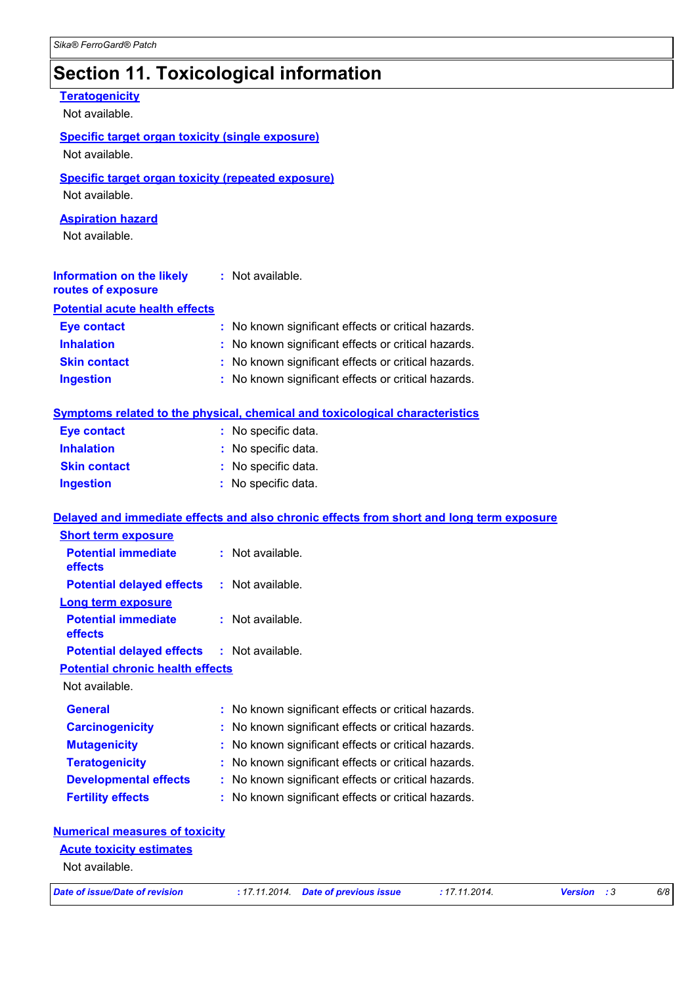### **Section 11. Toxicological information**

#### Not available. **Teratogenicity** Not available. **Information on the likely routes of exposure Inhalation :** No known significant effects or critical hazards. **Ingestion :** No known significant effects or critical hazards. **Skin contact :** No known significant effects or critical hazards. **Eye contact :** No known significant effects or critical hazards. **General :** No known significant effects or critical hazards. **Carcinogenicity :** No known significant effects or critical hazards. **Mutagenicity :** No known significant effects or critical hazards. **Teratogenicity :** No known significant effects or critical hazards. **Developmental effects :** No known significant effects or critical hazards. **Fertility effects :** No known significant effects or critical hazards. **Symptoms related to the physical, chemical and toxicological characteristics Skin contact Ingestion Inhalation :** No specific data. No specific data. **:** No specific data. **: Eye contact :** No specific data. **Potential chronic health effects Delayed and immediate effects and also chronic effects from short and long term exposure Specific target organ toxicity (single exposure) Specific target organ toxicity (repeated exposure)** Not available. Not available. **Numerical measures of toxicity Aspiration hazard** Not available. **:** Not available. **Potential acute health effects Potential immediate effects :** Not available. **Short term exposure Potential delayed effects :** Not available. **Potential immediate effects :** Not available. **Long term exposure Potential delayed effects :** Not available.

#### **Acute toxicity estimates**

Not available.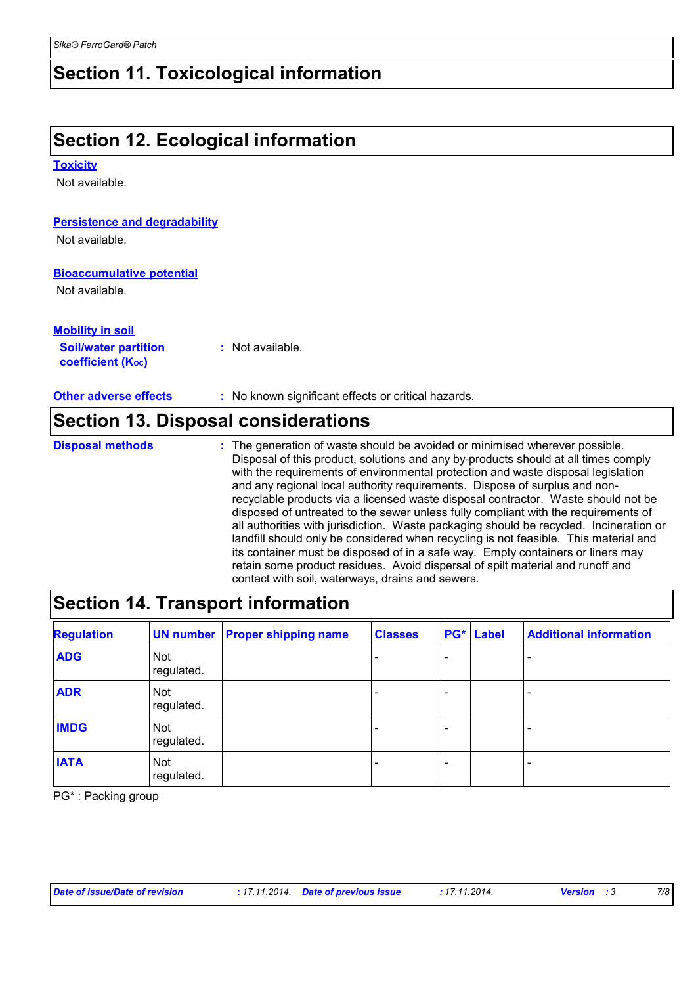### **Section 11. Toxicological information**

# **Section 12. Ecological information**

#### **Toxicity**

Not available.

#### **Persistence and degradability**

Not available.

#### **Bioaccumulative potential**

Not available.

#### **Mobility in soil**

**Soil/water partition coefficient (KOC) :** Not available.

**Other adverse effects** : No known significant effects or critical hazards.

### **Section 13. Disposal considerations**

The generation of waste should be avoided or minimised wherever possible. Disposal of this product, solutions and any by-products should at all times comply with the requirements of environmental protection and waste disposal legislation and any regional local authority requirements. Dispose of surplus and nonrecyclable products via a licensed waste disposal contractor. Waste should not be disposed of untreated to the sewer unless fully compliant with the requirements of all authorities with jurisdiction. Waste packaging should be recycled. Incineration or landfill should only be considered when recycling is not feasible. This material and its container must be disposed of in a safe way. Empty containers or liners may retain some product residues. Avoid dispersal of spilt material and runoff and contact with soil, waterways, drains and sewers. **Disposal methods :**

### **Section 14. Transport information**

| <b>Regulation</b> |                          | <b>UN number Proper shipping name</b> | <b>Classes</b> | PG* | <b>Label</b> | <b>Additional information</b> |
|-------------------|--------------------------|---------------------------------------|----------------|-----|--------------|-------------------------------|
| <b>ADG</b>        | <b>Not</b><br>regulated. |                                       |                |     |              |                               |
| <b>ADR</b>        | <b>Not</b><br>regulated. |                                       |                |     |              |                               |
| <b>IMDG</b>       | <b>Not</b><br>regulated. |                                       |                |     |              |                               |
| <b>IATA</b>       | <b>Not</b><br>regulated. |                                       |                |     |              |                               |

PG\* : Packing group